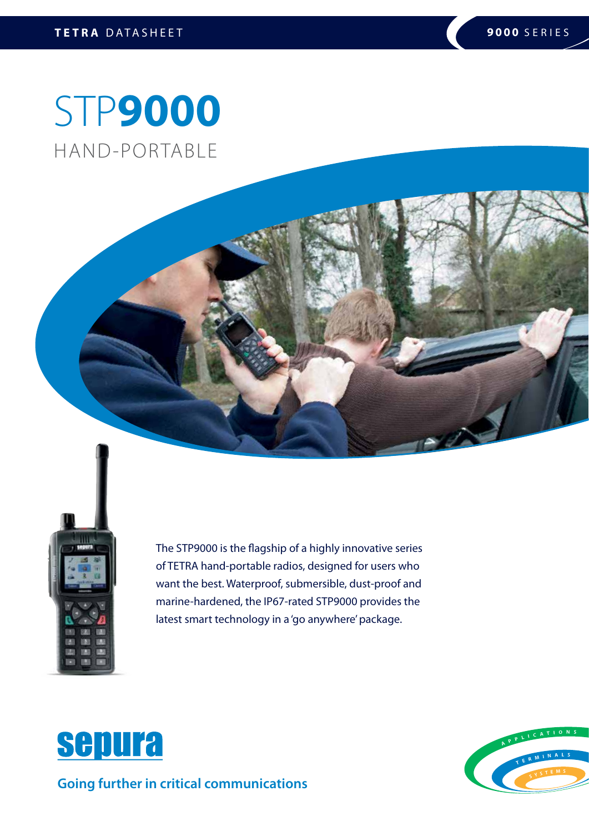# STP**9000** HAND-PORTABLE



The STP9000 is the flagship of a highly innovative series of TETRA hand-portable radios, designed for users who want the best. Waterproof, submersible, dust-proof and marine-hardened, the IP67-rated STP9000 provides the latest smart technology in a 'go anywhere' package.



**Going further in critical communications**

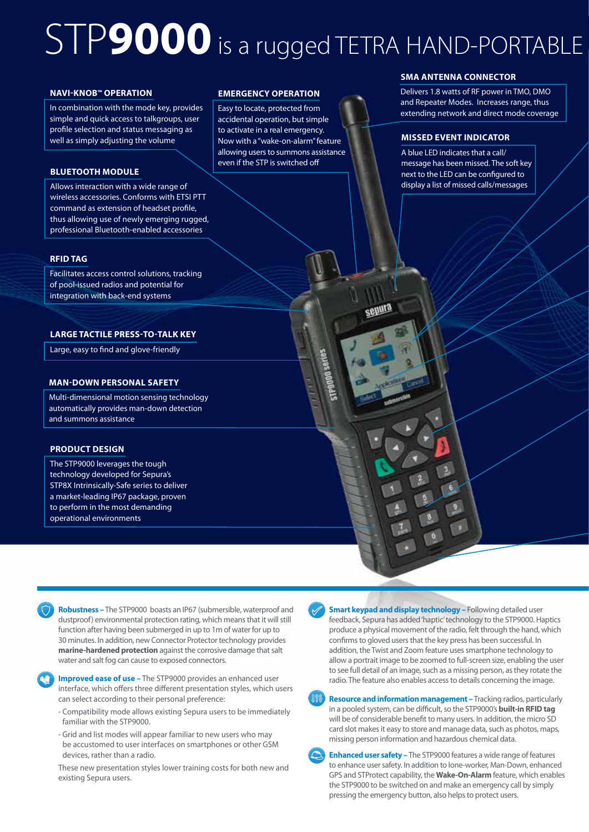# STP**9000** is a rugged TETRA HAND-PORTABLE

### **NAVI-KNOB™ OPERATION**

In combination with the mode key, provides simple and quick access to talkgroups, user profile selection and status messaging as well as simply adjusting the volume

### **BLUETOOTH MODULE**

Allows interaction with a wide range of wireless accessories. Conforms with ETSI PTT command as extension of headset profile, thus allowing use of newly emerging rugged, professional Bluetooth-enabled accessories

### **RFID TAG**

Facilitates access control solutions, tracking of pool-issued radios and potential for integration with back-end systems

### **LARGE TACTILE PRESS-TO-TALK KEY**

Large, easy to find and glove-friendly

### **MAN-DOWN PERSONAL SAFETY**

Multi-dimensional motion sensing technology automatically provides man-down detection and summons assistance

### **PRODUCT DESIGN**

The STP9000 leverages the tough technology developed for Sepura's STP8X Intrinsically-Safe series to deliver a market-leading IP67 package, proven to perform in the most demanding operational environments

### **EMERGENCY OPERATION**

Easy to locate, protected from accidental operation, but simple to activate in a real emergency. Now with a "wake-on-alarm" feature allowing users to summons assistance even if the STP is switched off

### **SMA ANTENNA CONNECTOR**

Delivers 1.8 watts of RF power in TMO, DMO and Repeater Modes. Increases range, thus extending network and direct mode coverage

### **MISSED EVENT INDICATOR**

senura

A blue LED indicates that a call/ message has been missed. The soft key next to the LED can be configured to display a list of missed calls/messages

**Robustness –** The STP9000 boasts an IP67 (submersible, waterproof and dustproof) environmental protection rating, which means that it will still function after having been submerged in up to 1m of water for up to 30 minutes. In addition, new Connector Protector technology provides **marine-hardened protection** against the corrosive damage that salt water and salt fog can cause to exposed connectors.



**Improved ease of use –** The STP9000 provides an enhanced user interface, which offers three different presentation styles, which users can select according to their personal preference:

- Compatibility mode allows existing Sepura users to be immediately familiar with the STP9000.
- Grid and list modes will appear familiar to new users who may be accustomed to user interfaces on smartphones or other GSM devices, rather than a radio.

These new presentation styles lower training costs for both new and existing Sepura users.



**Resource and information management –** Tracking radios, particularly in a pooled system, can be difficult, so the STP9000's **built-in RFID tag** will be of considerable benefit to many users. In addition, the micro SD card slot makes it easy to store and manage data, such as photos, maps, missing person information and hazardous chemical data.

**Enhanced user safety –** The STP9000 features a wide range of features to enhance user safety. In addition to lone-worker, Man-Down, enhanced GPS and STProtect capability, the **Wake-On-Alarm** feature, which enables the STP9000 to be switched on and make an emergency call by simply pressing the emergency button, also helps to protect users.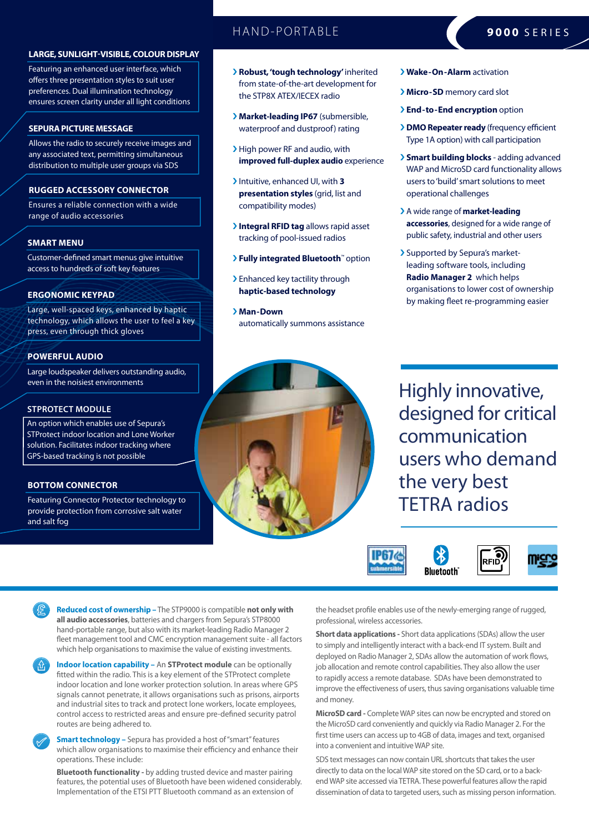### **LARGE, SUNLIGHT-VISIBLE, COLOUR DISPLAY**

Featuring an enhanced user interface, which offers three presentation styles to suit user preferences. Dual illumination technology ensures screen clarity under all light conditions

### **SEPURA PICTURE MESSAGE**

Allows the radio to securely receive images and any associated text, permitting simultaneous distribution to multiple user groups via SDS

### **RUGGED ACCESSORY CONNECTOR**

Ensures a reliable connection with a wide range of audio accessories

### **SMART MENU**

Customer-defined smart menus give intuitive access to hundreds of soft key features

### **ERGONOMIC KEYPAD**

Large, well-spaced keys, enhanced by haptic technology, which allows the user to feel a key press, even through thick gloves

### **POWERFUL AUDIO**

Large loudspeaker delivers outstanding audio, even in the noisiest environments

### **STPROTECT MODULE**

An option which enables use of Sepura's STProtect indoor location and Lone Worker solution. Facilitates indoor tracking where GPS-based tracking is not possible

### **BOTTOM CONNECTOR**

Featuring Connector Protector technology to provide protection from corrosive salt water and salt fog

### HAND-PORTABLE **9000** SERIES

- › **Robust, 'tough technology'** inherited from state-of-the-art development for the STP8X ATEX/IECEX radio
- › **Market-leading IP67** (submersible, waterproof and dustproof) rating
- › High power RF and audio, with **improved full-duplex audio** experience
- › Intuitive, enhanced UI, with **3 presentation styles** (grid, list and compatibility modes)
- › **Integral RFID tag** allows rapid asset tracking of pool-issued radios
- › **Fully integrated Bluetooth**™ option
- > Enhanced key tactility through **haptic-based technology**
- › **Man-Down** automatically summons assistance

### › **Wake-On-Alarm** activation

- › **Micro-SD** memory card slot
- › **End-to-End encryption** option
- › **DMO Repeater ready** (frequency efficient Type 1A option) with call participation
- › **Smart building blocks** adding advanced WAP and MicroSD card functionality allows users to 'build' smart solutions to meet operational challenges
- › A wide range of **market-leading accessories**, designed for a wide range of public safety, industrial and other users
- › Supported by Sepura's marketleading software tools, including **Radio Manager 2** which helps organisations to lower cost of ownership by making fleet re-programming easier

Highly innovative, designed for critical communication users who demand the very best TETRA radios



**Reduced cost of ownership –** The STP9000 is compatible **not only with all audio accessories**, batteries and chargers from Sepura's STP8000 hand-portable range, but also with its market-leading Radio Manager 2 fleet management tool and CMC encryption management suite - all factors which help organisations to maximise the value of existing investments.



**Indoor location capability –** An **STProtect module** can be optionally fitted within the radio. This is a key element of the STProtect complete indoor location and lone worker protection solution. In areas where GPS signals cannot penetrate, it allows organisations such as prisons, airports and industrial sites to track and protect lone workers, locate employees, control access to restricted areas and ensure pre-defined security patrol routes are being adhered to.



**Bluetooth functionality -** by adding trusted device and master pairing features, the potential uses of Bluetooth have been widened considerably. Implementation of the ETSI PTT Bluetooth command as an extension of

the headset profile enables use of the newly-emerging range of rugged, professional, wireless accessories.

**Short data applications -** Short data applications (SDAs) allow the user to simply and intelligently interact with a back-end IT system. Built and deployed on Radio Manager 2, SDAs allow the automation of work flows, job allocation and remote control capabilities. They also allow the user to rapidly access a remote database. SDAs have been demonstrated to improve the effectiveness of users, thus saving organisations valuable time and money.

**MicroSD card -** Complete WAP sites can now be encrypted and stored on the MicroSD card conveniently and quickly via Radio Manager 2. For the first time users can access up to 4GB of data, images and text, organised into a convenient and intuitive WAP site.

SDS text messages can now contain URL shortcuts that takes the user directly to data on the local WAP site stored on the SD card, or to a backend WAP site accessed via TETRA. These powerful features allow the rapid dissemination of data to targeted users, such as missing person information.